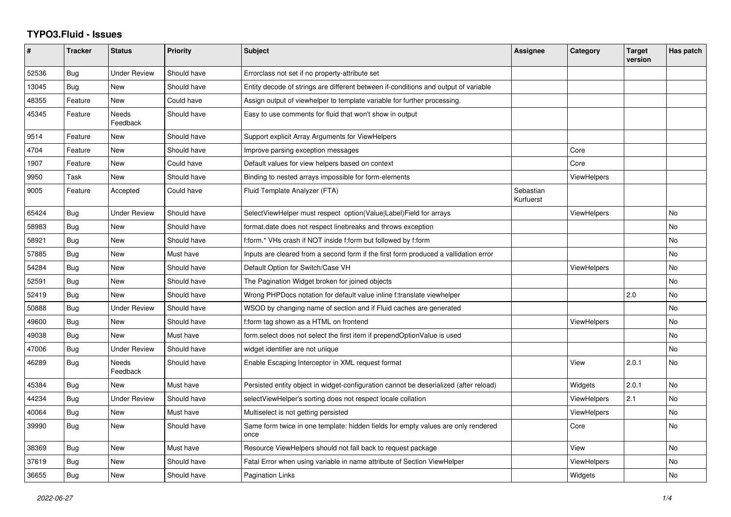## **TYPO3.Fluid - Issues**

| #     | <b>Tracker</b> | <b>Status</b>            | <b>Priority</b> | <b>Subject</b>                                                                            | Assignee               | Category           | <b>Target</b><br>version | Has patch |
|-------|----------------|--------------------------|-----------------|-------------------------------------------------------------------------------------------|------------------------|--------------------|--------------------------|-----------|
| 52536 | Bug            | Under Review             | Should have     | Errorclass not set if no property-attribute set                                           |                        |                    |                          |           |
| 13045 | <b>Bug</b>     | <b>New</b>               | Should have     | Entity decode of strings are different between if-conditions and output of variable       |                        |                    |                          |           |
| 48355 | Feature        | New                      | Could have      | Assign output of viewhelper to template variable for further processing.                  |                        |                    |                          |           |
| 45345 | Feature        | <b>Needs</b><br>Feedback | Should have     | Easy to use comments for fluid that won't show in output                                  |                        |                    |                          |           |
| 9514  | Feature        | <b>New</b>               | Should have     | Support explicit Array Arguments for ViewHelpers                                          |                        |                    |                          |           |
| 4704  | Feature        | <b>New</b>               | Should have     | Improve parsing exception messages                                                        |                        | Core               |                          |           |
| 1907  | Feature        | New                      | Could have      | Default values for view helpers based on context                                          |                        | Core               |                          |           |
| 9950  | Task           | New                      | Should have     | Binding to nested arrays impossible for form-elements                                     |                        | <b>ViewHelpers</b> |                          |           |
| 9005  | Feature        | Accepted                 | Could have      | Fluid Template Analyzer (FTA)                                                             | Sebastian<br>Kurfuerst |                    |                          |           |
| 65424 | <b>Bug</b>     | <b>Under Review</b>      | Should have     | SelectViewHelper must respect option(Value Label)Field for arrays                         |                        | <b>ViewHelpers</b> |                          | No        |
| 58983 | Bug            | <b>New</b>               | Should have     | format.date does not respect linebreaks and throws exception                              |                        |                    |                          | <b>No</b> |
| 58921 | Bug            | New                      | Should have     | f:form.* VHs crash if NOT inside f:form but followed by f:form                            |                        |                    |                          | No        |
| 57885 | Bug            | New                      | Must have       | Inputs are cleared from a second form if the first form produced a vallidation error      |                        |                    |                          | <b>No</b> |
| 54284 | Bug            | New                      | Should have     | Default Option for Switch/Case VH                                                         |                        | ViewHelpers        |                          | No        |
| 52591 | Bug            | New                      | Should have     | The Pagination Widget broken for joined objects                                           |                        |                    |                          | <b>No</b> |
| 52419 | Bug            | New                      | Should have     | Wrong PHPDocs notation for default value inline f:translate viewhelper                    |                        |                    | 2.0                      | No        |
| 50888 | Bug            | <b>Under Review</b>      | Should have     | WSOD by changing name of section and if Fluid caches are generated                        |                        |                    |                          | <b>No</b> |
| 49600 | Bug            | New                      | Should have     | f:form tag shown as a HTML on frontend                                                    |                        | <b>ViewHelpers</b> |                          | No        |
| 49038 | Bug            | New                      | Must have       | form.select does not select the first item if prependOptionValue is used                  |                        |                    |                          | <b>No</b> |
| 47006 | Bug            | Under Review             | Should have     | widget identifier are not unique                                                          |                        |                    |                          | No        |
| 46289 | Bug            | <b>Needs</b><br>Feedback | Should have     | Enable Escaping Interceptor in XML request format                                         |                        | View               | 2.0.1                    | <b>No</b> |
| 45384 | <b>Bug</b>     | New                      | Must have       | Persisted entity object in widget-configuration cannot be deserialized (after reload)     |                        | Widgets            | 2.0.1                    | <b>No</b> |
| 44234 | Bug            | Under Review             | Should have     | selectViewHelper's sorting does not respect locale collation                              |                        | <b>ViewHelpers</b> | 2.1                      | No        |
| 40064 | <b>Bug</b>     | <b>New</b>               | Must have       | Multiselect is not getting persisted                                                      |                        | <b>ViewHelpers</b> |                          | <b>No</b> |
| 39990 | Bug            | New                      | Should have     | Same form twice in one template: hidden fields for empty values are only rendered<br>once |                        | Core               |                          | <b>No</b> |
| 38369 | <b>Bug</b>     | New                      | Must have       | Resource ViewHelpers should not fall back to request package                              |                        | View               |                          | <b>No</b> |
| 37619 | Bug            | New                      | Should have     | Fatal Error when using variable in name attribute of Section ViewHelper                   |                        | ViewHelpers        |                          | No        |
| 36655 | Bug            | New                      | Should have     | <b>Pagination Links</b>                                                                   |                        | Widgets            |                          | <b>No</b> |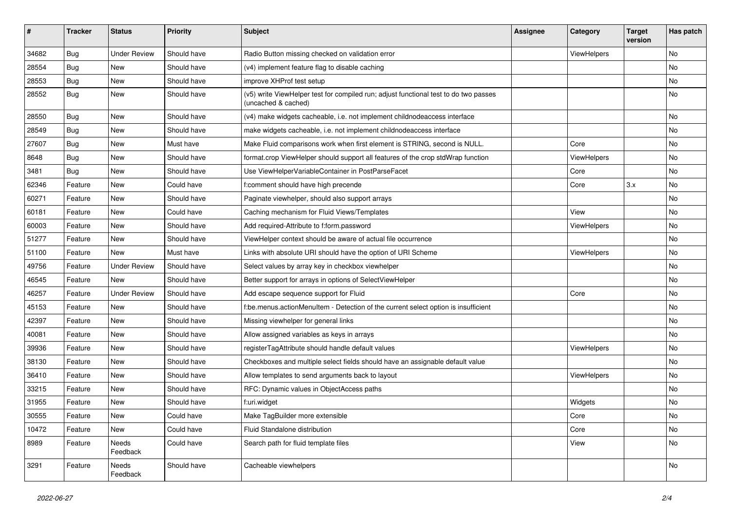| #     | <b>Tracker</b> | <b>Status</b>       | <b>Priority</b> | Subject                                                                                                     | <b>Assignee</b> | Category    | <b>Target</b><br>version | Has patch |
|-------|----------------|---------------------|-----------------|-------------------------------------------------------------------------------------------------------------|-----------------|-------------|--------------------------|-----------|
| 34682 | Bug            | <b>Under Review</b> | Should have     | Radio Button missing checked on validation error                                                            |                 | ViewHelpers |                          | <b>No</b> |
| 28554 | Bug            | New                 | Should have     | (v4) implement feature flag to disable caching                                                              |                 |             |                          | No        |
| 28553 | Bug            | New                 | Should have     | improve XHProf test setup                                                                                   |                 |             |                          | No        |
| 28552 | Bug            | New                 | Should have     | (v5) write ViewHelper test for compiled run; adjust functional test to do two passes<br>(uncached & cached) |                 |             |                          | No        |
| 28550 | Bug            | New                 | Should have     | (v4) make widgets cacheable, i.e. not implement childnodeaccess interface                                   |                 |             |                          | <b>No</b> |
| 28549 | Bug            | New                 | Should have     | make widgets cacheable, i.e. not implement childnodeaccess interface                                        |                 |             |                          | No        |
| 27607 | Bug            | New                 | Must have       | Make Fluid comparisons work when first element is STRING, second is NULL.                                   |                 | Core        |                          | No        |
| 8648  | Bug            | New                 | Should have     | format.crop ViewHelper should support all features of the crop stdWrap function                             |                 | ViewHelpers |                          | No        |
| 3481  | Bug            | New                 | Should have     | Use ViewHelperVariableContainer in PostParseFacet                                                           |                 | Core        |                          | No        |
| 62346 | Feature        | New                 | Could have      | f:comment should have high precende                                                                         |                 | Core        | 3.x                      | No        |
| 60271 | Feature        | New                 | Should have     | Paginate viewhelper, should also support arrays                                                             |                 |             |                          | No        |
| 60181 | Feature        | New                 | Could have      | Caching mechanism for Fluid Views/Templates                                                                 |                 | View        |                          | No        |
| 60003 | Feature        | New                 | Should have     | Add required-Attribute to f:form.password                                                                   |                 | ViewHelpers |                          | No        |
| 51277 | Feature        | New                 | Should have     | ViewHelper context should be aware of actual file occurrence                                                |                 |             |                          | No        |
| 51100 | Feature        | New                 | Must have       | Links with absolute URI should have the option of URI Scheme                                                |                 | ViewHelpers |                          | No        |
| 49756 | Feature        | <b>Under Review</b> | Should have     | Select values by array key in checkbox viewhelper                                                           |                 |             |                          | No        |
| 46545 | Feature        | New                 | Should have     | Better support for arrays in options of SelectViewHelper                                                    |                 |             |                          | No        |
| 46257 | Feature        | <b>Under Review</b> | Should have     | Add escape sequence support for Fluid                                                                       |                 | Core        |                          | No        |
| 45153 | Feature        | New                 | Should have     | f:be.menus.actionMenuItem - Detection of the current select option is insufficient                          |                 |             |                          | No        |
| 42397 | Feature        | New                 | Should have     | Missing viewhelper for general links                                                                        |                 |             |                          | No        |
| 40081 | Feature        | New                 | Should have     | Allow assigned variables as keys in arrays                                                                  |                 |             |                          | <b>No</b> |
| 39936 | Feature        | New                 | Should have     | registerTagAttribute should handle default values                                                           |                 | ViewHelpers |                          | No        |
| 38130 | Feature        | New                 | Should have     | Checkboxes and multiple select fields should have an assignable default value                               |                 |             |                          | No        |
| 36410 | Feature        | New                 | Should have     | Allow templates to send arguments back to layout                                                            |                 | ViewHelpers |                          | No        |
| 33215 | Feature        | New                 | Should have     | RFC: Dynamic values in ObjectAccess paths                                                                   |                 |             |                          | No        |
| 31955 | Feature        | New                 | Should have     | f:uri.widget                                                                                                |                 | Widgets     |                          | No        |
| 30555 | Feature        | New                 | Could have      | Make TagBuilder more extensible                                                                             |                 | Core        |                          | No        |
| 10472 | Feature        | New                 | Could have      | Fluid Standalone distribution                                                                               |                 | Core        |                          | No        |
| 8989  | Feature        | Needs<br>Feedback   | Could have      | Search path for fluid template files                                                                        |                 | View        |                          | No        |
| 3291  | Feature        | Needs<br>Feedback   | Should have     | Cacheable viewhelpers                                                                                       |                 |             |                          | No        |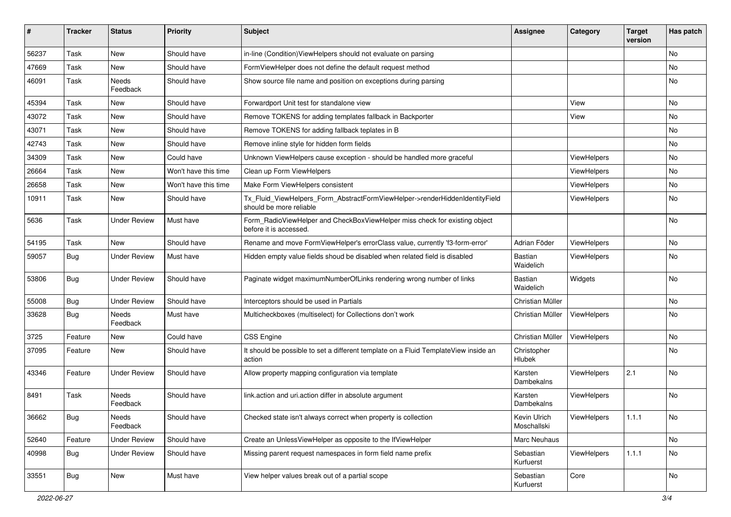| #     | <b>Tracker</b> | <b>Status</b>       | <b>Priority</b>      | Subject                                                                                                | <b>Assignee</b>             | Category           | <b>Target</b><br>version | Has patch |
|-------|----------------|---------------------|----------------------|--------------------------------------------------------------------------------------------------------|-----------------------------|--------------------|--------------------------|-----------|
| 56237 | Task           | New                 | Should have          | in-line (Condition) ViewHelpers should not evaluate on parsing                                         |                             |                    |                          | <b>No</b> |
| 47669 | Task           | New                 | Should have          | FormViewHelper does not define the default request method                                              |                             |                    |                          | No        |
| 46091 | Task           | Needs<br>Feedback   | Should have          | Show source file name and position on exceptions during parsing                                        |                             |                    |                          | <b>No</b> |
| 45394 | Task           | New                 | Should have          | Forwardport Unit test for standalone view                                                              |                             | View               |                          | No        |
| 43072 | Task           | New                 | Should have          | Remove TOKENS for adding templates fallback in Backporter                                              |                             | View               |                          | <b>No</b> |
| 43071 | Task           | New                 | Should have          | Remove TOKENS for adding fallback teplates in B                                                        |                             |                    |                          | No        |
| 42743 | Task           | New                 | Should have          | Remove inline style for hidden form fields                                                             |                             |                    |                          | No        |
| 34309 | Task           | New                 | Could have           | Unknown ViewHelpers cause exception - should be handled more graceful                                  |                             | ViewHelpers        |                          | No        |
| 26664 | Task           | New                 | Won't have this time | Clean up Form ViewHelpers                                                                              |                             | ViewHelpers        |                          | No        |
| 26658 | Task           | New                 | Won't have this time | Make Form ViewHelpers consistent                                                                       |                             | ViewHelpers        |                          | <b>No</b> |
| 10911 | Task           | New                 | Should have          | Tx_Fluid_ViewHelpers_Form_AbstractFormViewHelper->renderHiddenIdentityField<br>should be more reliable |                             | ViewHelpers        |                          | No        |
| 5636  | Task           | <b>Under Review</b> | Must have            | Form_RadioViewHelper and CheckBoxViewHelper miss check for existing object<br>before it is accessed.   |                             |                    |                          | <b>No</b> |
| 54195 | Task           | New                 | Should have          | Rename and move FormViewHelper's errorClass value, currently 'f3-form-error'                           | Adrian Föder                | ViewHelpers        |                          | <b>No</b> |
| 59057 | Bug            | <b>Under Review</b> | Must have            | Hidden empty value fields shoud be disabled when related field is disabled                             | <b>Bastian</b><br>Waidelich | ViewHelpers        |                          | <b>No</b> |
| 53806 | Bug            | <b>Under Review</b> | Should have          | Paginate widget maximumNumberOfLinks rendering wrong number of links                                   | <b>Bastian</b><br>Waidelich | Widgets            |                          | <b>No</b> |
| 55008 | Bug            | <b>Under Review</b> | Should have          | Interceptors should be used in Partials                                                                | Christian Müller            |                    |                          | No        |
| 33628 | Bug            | Needs<br>Feedback   | Must have            | Multicheckboxes (multiselect) for Collections don't work                                               | Christian Müller            | ViewHelpers        |                          | <b>No</b> |
| 3725  | Feature        | New                 | Could have           | <b>CSS Engine</b>                                                                                      | Christian Müller            | ViewHelpers        |                          | No        |
| 37095 | Feature        | New                 | Should have          | It should be possible to set a different template on a Fluid TemplateView inside an<br>action          | Christopher<br>Hlubek       |                    |                          | <b>No</b> |
| 43346 | Feature        | <b>Under Review</b> | Should have          | Allow property mapping configuration via template                                                      | Karsten<br>Dambekalns       | ViewHelpers        | 2.1                      | <b>No</b> |
| 8491  | Task           | Needs<br>Feedback   | Should have          | link.action and uri.action differ in absolute argument                                                 | Karsten<br>Dambekalns       | ViewHelpers        |                          | <b>No</b> |
| 36662 | Bug            | Needs<br>Feedback   | Should have          | Checked state isn't always correct when property is collection                                         | Kevin Ulrich<br>Moschallski | <b>ViewHelpers</b> | 1.1.1                    | No        |
| 52640 | Feature        | <b>Under Review</b> | Should have          | Create an UnlessViewHelper as opposite to the IfViewHelper                                             | Marc Neuhaus                |                    |                          | <b>No</b> |
| 40998 | <b>Bug</b>     | <b>Under Review</b> | Should have          | Missing parent request namespaces in form field name prefix                                            | Sebastian<br>Kurfuerst      | ViewHelpers        | 1.1.1                    | No        |
| 33551 | <b>Bug</b>     | New                 | Must have            | View helper values break out of a partial scope                                                        | Sebastian<br>Kurfuerst      | Core               |                          | No        |